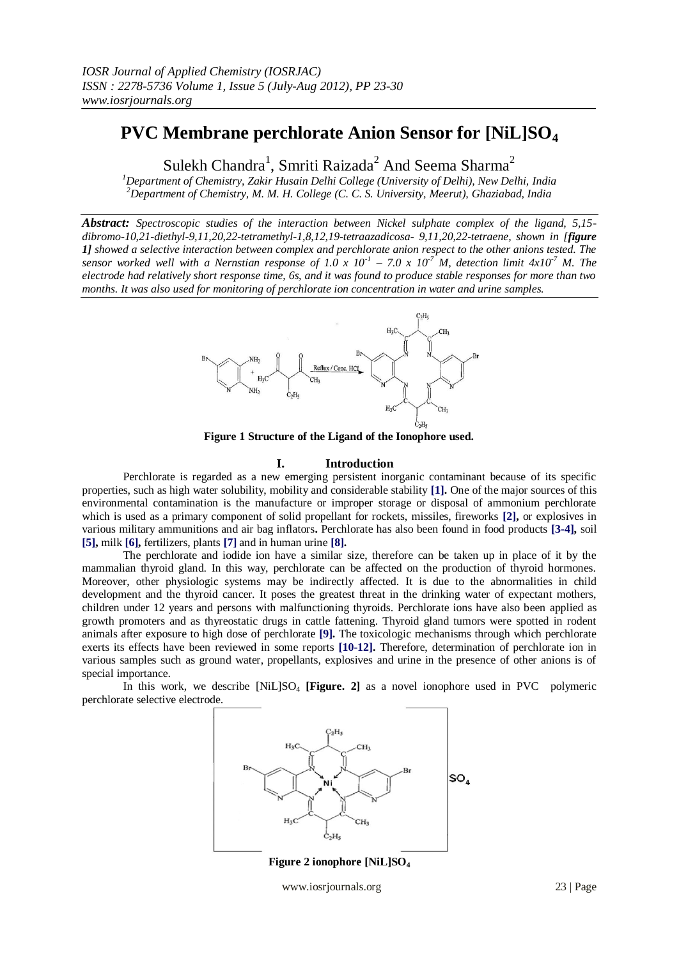# **PVC Membrane perchlorate Anion Sensor for [NiL]SO<sup>4</sup>**

Sulekh Chandra<sup>1</sup>, Smriti Raizada<sup>2</sup> And Seema Sharma<sup>2</sup>

*<sup>1</sup>Department of Chemistry, Zakir Husain Delhi College (University of Delhi), New Delhi, India <sup>2</sup>Department of Chemistry, M. M. H. College (C. C. S. University, Meerut), Ghaziabad, India*

*Abstract: Spectroscopic studies of the interaction between Nickel sulphate complex of the ligand, 5,15 dibromo-10,21-diethyl-9,11,20,22-tetramethyl-1,8,12,19-tetraazadicosa- 9,11,20,22-tetraene, shown in [figure 1] showed a selective interaction between complex and perchlorate anion respect to the other anions tested. The sensor worked well with a Nernstian response of*  $1.0 \times 10^{-1}$  *–*  $7.0 \times 10^{-7}$  *M, detection limit*  $4x10^{-7}$  *M. The electrode had relatively short response time, 6s, and it was found to produce stable responses for more than two months. It was also used for monitoring of perchlorate ion concentration in water and urine samples.*



**Figure 1 Structure of the Ligand of the Ionophore used.**

## **I. Introduction**

Perchlorate is regarded as a new emerging persistent inorganic contaminant because of its specific properties, such as high water solubility, mobility and considerable stability **[1].** One of the major sources of this environmental contamination is the manufacture or improper storage or disposal of ammonium perchlorate which is used as a primary component of solid propellant for rockets, missiles, fireworks **[2],** or explosives in various military ammunitions and air bag inflators**.** Perchlorate has also been found in food products **[3-4],** soil **[5],** milk **[6],** fertilizers, plants **[7]** and in human urine **[8].**

The perchlorate and iodide ion have a similar size, therefore can be taken up in place of it by the mammalian thyroid gland. In this way, perchlorate can be affected on the production of thyroid hormones. Moreover, other physiologic systems may be indirectly affected. It is due to the abnormalities in child development and the thyroid cancer. It poses the greatest threat in the drinking water of expectant mothers, children under 12 years and persons with malfunctioning thyroids. Perchlorate ions have also been applied as growth promoters and as thyreostatic drugs in cattle fattening. Thyroid gland tumors were spotted in rodent animals after exposure to high dose of perchlorate **[9].** The toxicologic mechanisms through which perchlorate exerts its effects have been reviewed in some reports **[10-12].** Therefore, determination of perchlorate ion in various samples such as ground water, propellants, explosives and urine in the presence of other anions is of special importance.

In this work, we describe [NiL]SO<sub>4</sub> [Figure. 2] as a novel ionophore used in PVC polymeric perchlorate selective electrode.



**Figure 2 ionophore [NiL]SO<sup>4</sup>**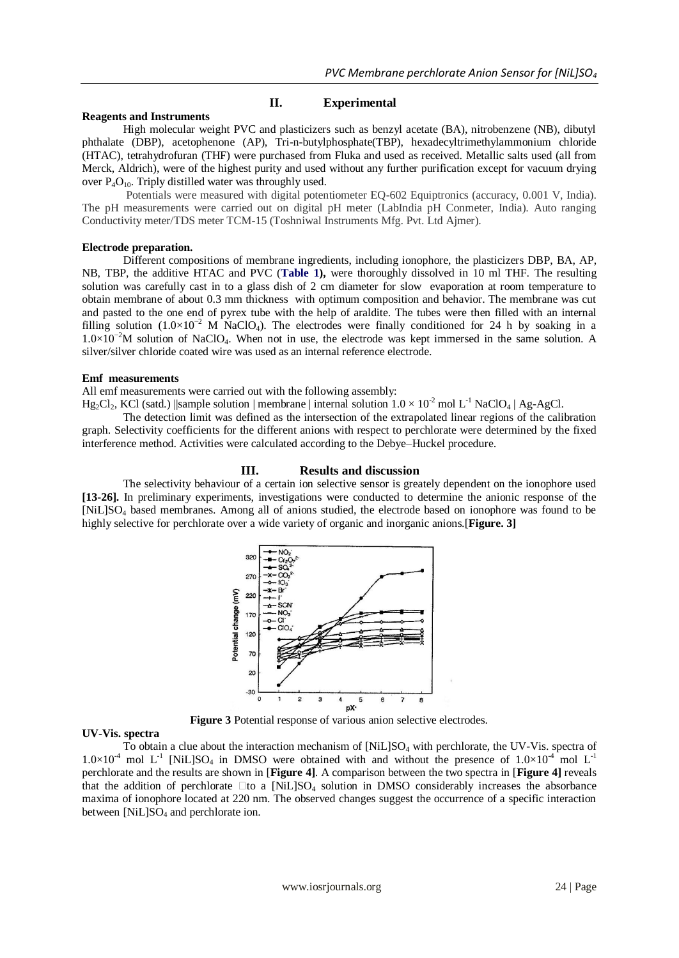## **II. Experimental**

## **Reagents and Instruments**

High molecular weight PVC and plasticizers such as benzyl acetate (BA), nitrobenzene (NB), dibutyl phthalate (DBP), acetophenone (AP), Tri-n-butylphosphate(TBP), hexadecyltrimethylammonium chloride (HTAC), tetrahydrofuran (THF) were purchased from Fluka and used as received. Metallic salts used (all from Merck, Aldrich), were of the highest purity and used without any further purification except for vacuum drying over  $P_4O_{10}$ . Triply distilled water was throughly used.

Potentials were measured with digital potentiometer EQ-602 Equiptronics (accuracy, 0.001 V, India). The pH measurements were carried out on digital pH meter (LabIndia pH Conmeter, India). Auto ranging Conductivity meter/TDS meter TCM-15 (Toshniwal Instruments Mfg. Pvt. Ltd Ajmer).

## **Electrode preparation.**

Different compositions of membrane ingredients, including ionophore, the plasticizers DBP, BA, AP, NB, TBP, the additive HTAC and PVC (**Table 1),** were thoroughly dissolved in 10 ml THF. The resulting solution was carefully cast in to a glass dish of 2 cm diameter for slow evaporation at room temperature to obtain membrane of about 0.3 mm thickness with optimum composition and behavior. The membrane was cut and pasted to the one end of pyrex tube with the help of araldite. The tubes were then filled with an internal filling solution (1.0×10<sup>-2</sup> M NaClO<sub>4</sub>). The electrodes were finally conditioned for 24 h by soaking in a 1.0×10−2M solution of NaClO4. When not in use, the electrode was kept immersed in the same solution. A silver/silver chloride coated wire was used as an internal reference electrode.

## **Emf measurements**

All emf measurements were carried out with the following assembly:

Hg<sub>2</sub>Cl<sub>2</sub>, KCl (satd.) ||sample solution | membrane | internal solution  $1.0 \times 10^{-2}$  mol L<sup>-1</sup> NaClO<sub>4</sub> | Ag-AgCl.

The detection limit was defined as the intersection of the extrapolated linear regions of the calibration graph. Selectivity coefficients for the different anions with respect to perchlorate were determined by the fixed interference method. Activities were calculated according to the Debye–Huckel procedure.

## **III. Results and discussion**

The selectivity behaviour of a certain ion selective sensor is greately dependent on the ionophore used **[13-26].** In preliminary experiments, investigations were conducted to determine the anionic response of the [NiL]SO<sup>4</sup> based membranes. Among all of anions studied, the electrode based on ionophore was found to be highly selective for perchlorate over a wide variety of organic and inorganic anions. [**Figure. 3**]



**Figure 3** Potential response of various anion selective electrodes.

#### **UV-Vis. spectra**

To obtain a clue about the interaction mechanism of [NiL]SO<sub>4</sub> with perchlorate, the UV-Vis. spectra of  $1.0\times10^{-4}$  mol L<sup>-1</sup> [NiL]SO<sub>4</sub> in DMSO were obtained with and without the presence of  $1.0\times10^{-4}$  mol L<sup>-1</sup> perchlorate and the results are shown in [**Figure 4]**. A comparison between the two spectra in [**Figure 4]** reveals that the addition of perchlorate  $\Box$  to a [NiL]SO<sub>4</sub> solution in DMSO considerably increases the absorbance maxima of ionophore located at 220 nm. The observed changes suggest the occurrence of a specific interaction between  $[NiL]SO_4$  and perchlorate ion.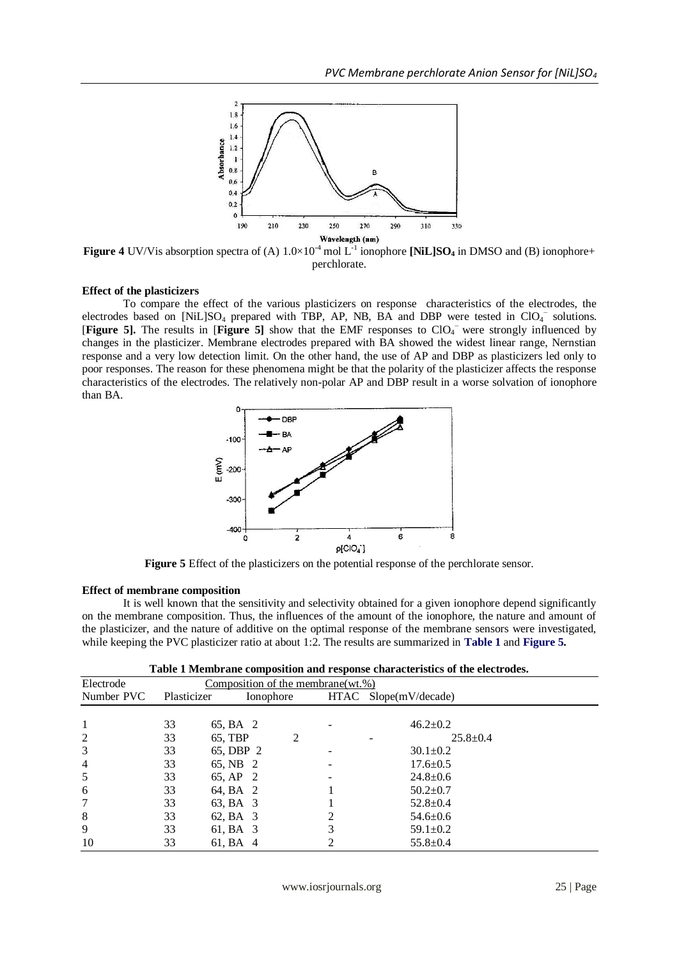

**Figure 4** UV/Vis absorption spectra of (A)  $1.0 \times 10^{-4}$  mol L<sup>-1</sup> ionophore [NiL]SO<sub>4</sub> in DMSO and (B) ionophore+ perchlorate.

#### **Effect of the plasticizers**

To compare the effect of the various plasticizers on response characteristics of the electrodes, the electrodes based on [NiL]SO<sub>4</sub> prepared with TBP, AP, NB, BA and DBP were tested in  $ClO<sub>4</sub>$  solutions. [Figure 5]. The results in [Figure 5] show that the EMF responses to ClO<sub>4</sub><sup>-</sup> were strongly influenced by changes in the plasticizer. Membrane electrodes prepared with BA showed the widest linear range, Nernstian response and a very low detection limit. On the other hand, the use of AP and DBP as plasticizers led only to poor responses. The reason for these phenomena might be that the polarity of the plasticizer affects the response characteristics of the electrodes. The relatively non-polar AP and DBP result in a worse solvation of ionophore than BA.



**Figure 5** Effect of the plasticizers on the potential response of the perchlorate sensor.

#### **Effect of membrane composition**

It is well known that the sensitivity and selectivity obtained for a given ionophore depend significantly on the membrane composition. Thus, the influences of the amount of the ionophore, the nature and amount of the plasticizer, and the nature of additive on the optimal response of the membrane sensors were investigated, while keeping the PVC plasticizer ratio at about 1:2. The results are summarized in **Table 1** and **Figure 5.**

| Table 1 Membrane composition and response characteristics of the electrodes. |  |  |  |  |
|------------------------------------------------------------------------------|--|--|--|--|
|------------------------------------------------------------------------------|--|--|--|--|

| Electrode  | Composition of the membrane $(wt.\%)$ |           |           |  |                       |  |
|------------|---------------------------------------|-----------|-----------|--|-----------------------|--|
| Number PVC | Plasticizer                           |           | Ionophore |  | HTAC Slope(mV/decade) |  |
|            |                                       |           |           |  |                       |  |
|            | 33                                    | 65, BA 2  |           |  | $46.2 \pm 0.2$        |  |
| 2          | 33                                    | 65, TBP   | 2         |  | $25.8 \pm 0.4$        |  |
| 3          | 33                                    | 65, DBP 2 |           |  | $30.1 \pm 0.2$        |  |
| 4          | 33                                    | 65, NB 2  |           |  | $17.6 \pm 0.5$        |  |
| 5          | 33                                    | 65, AP 2  |           |  | $24.8 \pm 0.6$        |  |
| 6          | 33                                    | 64, BA 2  |           |  | $50.2 \pm 0.7$        |  |
| 7          | 33                                    | 63, BA 3  |           |  | $52.8 \pm 0.4$        |  |
| 8          | 33                                    | 62, BA 3  |           |  | $54.6 \pm 0.6$        |  |
| 9          | 33                                    | 61, BA 3  |           |  | $59.1 \pm 0.2$        |  |
| 10         | 33                                    | 61, BA 4  |           |  | $55.8 \pm 0.4$        |  |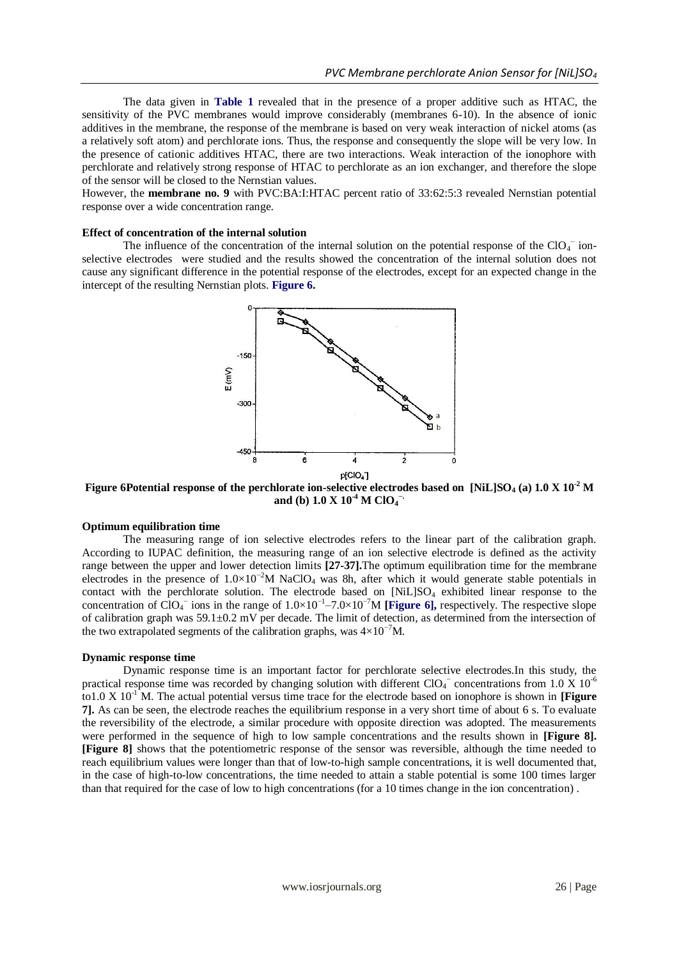The data given in **Table 1** revealed that in the presence of a proper additive such as HTAC, the sensitivity of the PVC membranes would improve considerably (membranes 6-10). In the absence of ionic additives in the membrane, the response of the membrane is based on very weak interaction of nickel atoms (as a relatively soft atom) and perchlorate ions. Thus, the response and consequently the slope will be very low. In the presence of cationic additives HTAC, there are two interactions. Weak interaction of the ionophore with perchlorate and relatively strong response of HTAC to perchlorate as an ion exchanger, and therefore the slope of the sensor will be closed to the Nernstian values.

However, the **membrane no. 9** with PVC:BA:I:HTAC percent ratio of 33:62:5:3 revealed Nernstian potential response over a wide concentration range.

#### **Effect of concentration of the internal solution**

The influence of the concentration of the internal solution on the potential response of the  $ClO<sub>4</sub><sup>-</sup>$  ionselective electrodes were studied and the results showed the concentration of the internal solution does not cause any significant difference in the potential response of the electrodes, except for an expected change in the intercept of the resulting Nernstian plots. **Figure 6.**



**Figure 6Potential response of the perchlorate ion-selective electrodes based on [NiL]SO<sup>4</sup> (a) 1.0 X 10-2 M and (b) 1.0 X 10<sup>-4</sup> M ClO<sub>4</sub><sup>--</sup>**.

## **Optimum equilibration time**

The measuring range of ion selective electrodes refers to the linear part of the calibration graph. According to IUPAC definition, the measuring range of an ion selective electrode is defined as the activity range between the upper and lower detection limits **[27-37].**The optimum equilibration time for the membrane electrodes in the presence of  $1.0\times10^{-2}$ M NaClO<sub>4</sub> was 8h, after which it would generate stable potentials in contact with the perchlorate solution. The electrode based on  $[NiL]SO<sub>4</sub>$  exhibited linear response to the concentration of  $CIO_4^-$  ions in the range of  $1.0 \times 10^{-1} - 7.0 \times 10^{-7}$ M [Figure 6], respectively. The respective slope of calibration graph was  $59.1 \pm 0.2$  mV per decade. The limit of detection, as determined from the intersection of the two extrapolated segments of the calibration graphs, was  $4\times10^{-7}$ M.

#### **Dynamic response time**

Dynamic response time is an important factor for perchlorate selective electrodes.In this study, the practical response time was recorded by changing solution with different ClO<sub>4</sub><sup>-</sup> concentrations from 1.0 X 10<sup>-6</sup> to1.0 X  $10^{-1}$  M. The actual potential versus time trace for the electrode based on ionophore is shown in **[Figure 7].** As can be seen, the electrode reaches the equilibrium response in a very short time of about 6 s. To evaluate the reversibility of the electrode, a similar procedure with opposite direction was adopted. The measurements were performed in the sequence of high to low sample concentrations and the results shown in **[Figure 8]. [Figure 8]** shows that the potentiometric response of the sensor was reversible, although the time needed to reach equilibrium values were longer than that of low-to-high sample concentrations, it is well documented that, in the case of high-to-low concentrations, the time needed to attain a stable potential is some 100 times larger than that required for the case of low to high concentrations (for a 10 times change in the ion concentration) .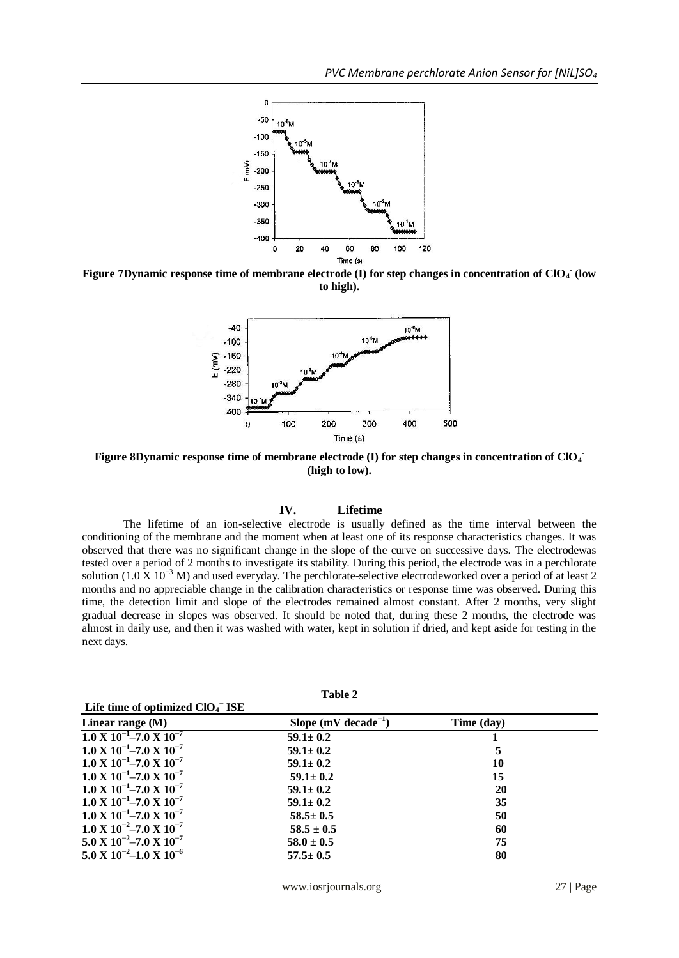

Figure 7Dynamic response time of membrane electrode (I) for step changes in concentration of ClO<sub>4</sub> (low **to high).**



**Figure 8Dynamic response time of membrane electrode (I) for step changes in concentration of ClO<sup>4</sup> - (high to low).**

## **IV. Lifetime**

The lifetime of an ion-selective electrode is usually defined as the time interval between the conditioning of the membrane and the moment when at least one of its response characteristics changes. It was observed that there was no significant change in the slope of the curve on successive days. The electrodewas tested over a period of 2 months to investigate its stability. During this period, the electrode was in a perchlorate solution (1.0 X  $10^{-3}$  M) and used everyday. The perchlorate-selective electrodeworked over a period of at least 2 months and no appreciable change in the calibration characteristics or response time was observed. During this time, the detection limit and slope of the electrodes remained almost constant. After 2 months, very slight gradual decrease in slopes was observed. It should be noted that, during these 2 months, the electrode was almost in daily use, and then it was washed with water, kept in solution if dried, and kept aside for testing in the next days.

| Life time of optimized $CIO4- ISE$                |                                  |            |  |
|---------------------------------------------------|----------------------------------|------------|--|
| Linear range $(M)$                                | Slope (mV decade <sup>-1</sup> ) | Time (day) |  |
| $1.0 \text{ X } 10^{-1} - 7.0 \text{ X } 10^{-7}$ | $59.1 \pm 0.2$                   |            |  |
| $1.0 \text{ X } 10^{-1} - 7.0 \text{ X } 10^{-7}$ | $59.1 \pm 0.2$                   | 5          |  |
| $1.0 \text{ X } 10^{-1} - 7.0 \text{ X } 10^{-7}$ | $59.1 \pm 0.2$                   | 10         |  |
| $1.0 \text{ X } 10^{-1} - 7.0 \text{ X } 10^{-7}$ | $59.1 \pm 0.2$                   | 15         |  |
| $1.0 \text{ X } 10^{-1} - 7.0 \text{ X } 10^{-7}$ | $59.1 \pm 0.2$                   | <b>20</b>  |  |
| $1.0 \text{ X } 10^{-1} - 7.0 \text{ X } 10^{-7}$ | $59.1 \pm 0.2$                   | 35         |  |
| $1.0 \text{ X } 10^{-1} - 7.0 \text{ X } 10^{-7}$ | $58.5 \pm 0.5$                   | 50         |  |
| $1.0 \text{ X } 10^{-2} - 7.0 \text{ X } 10^{-7}$ | $58.5 \pm 0.5$                   | 60         |  |
| $5.0 \text{ X } 10^{-2} - 7.0 \text{ X } 10^{-7}$ | $58.0 \pm 0.5$                   | 75         |  |
| $5.0 \text{ X } 10^{-2}$ -1.0 X $10^{-6}$         | $57.5 \pm 0.5$                   | 80         |  |

**Table 2**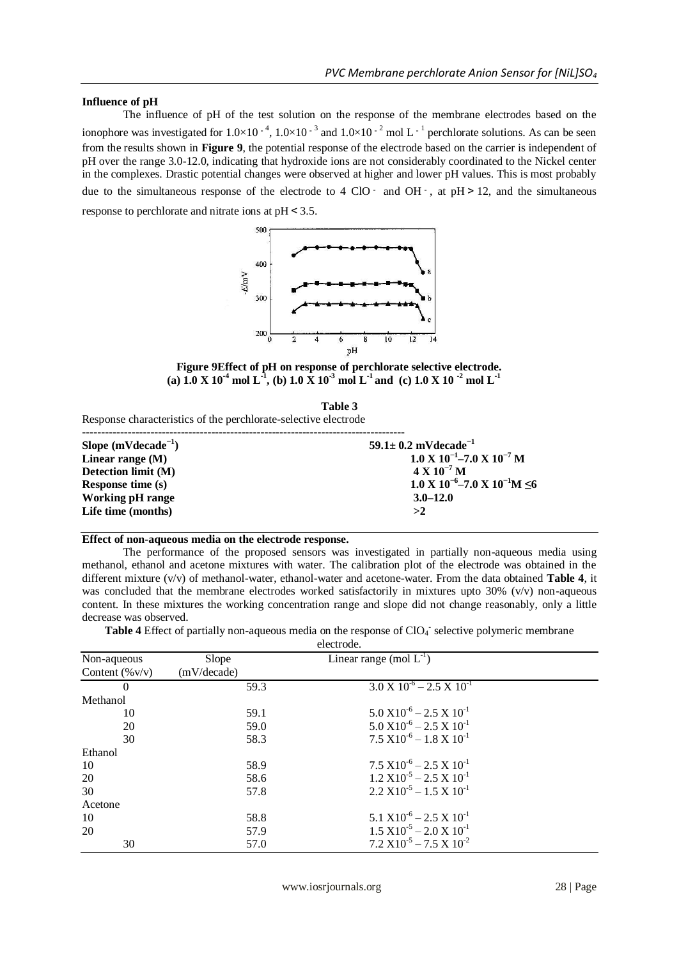## **Influence of pH**

The influence of pH of the test solution on the response of the membrane electrodes based on the ionophore was investigated for  $1.0 \times 10^{-4}$ ,  $1.0 \times 10^{-3}$  and  $1.0 \times 10^{-2}$  mol L<sup>-1</sup> perchlorate solutions. As can be seen from the results shown in **Figure 9**, the potential response of the electrode based on the carrier is independent of pH over the range 3.0-12.0, indicating that hydroxide ions are not considerably coordinated to the Nickel center in the complexes. Drastic potential changes were observed at higher and lower pH values. This is most probably due to the simultaneous response of the electrode to 4 ClO $\cdot$  and OH $\cdot$ , at pH $>12$ , and the simultaneous response to perchlorate and nitrate ions at  $pH \leq 3.5$ .



**Figure 9Effect of pH on response of perchlorate selective electrode.** (a)  $1.0 \text{ X } 10^{-4} \text{ mol L}^{\text{-1}}$ , (b)  $1.0 \text{ X } 10^{-3} \text{ mol L}^{\text{-1}}$  and (c)  $1.0 \text{ X } 10^{-2} \text{ mol L}^{\text{-1}}$ 

| able |  |
|------|--|
|------|--|

Response characteristics of the perchlorate-selective electrode

| Slope $(mVdecade^{-1})$  | 59.1 $\pm$ 0.2 mVdecade <sup>-1</sup>                              |
|--------------------------|--------------------------------------------------------------------|
| Linear range (M)         | $1.0 \text{ X } 10^{-1} - 7.0 \text{ X } 10^{-7} \text{ M}$        |
| Detection limit (M)      | $4 \text{ X } 10^{-7} \text{ M}$                                   |
| <b>Response time (s)</b> | $1.0 \text{ X } 10^{-6} - 7.0 \text{ X } 10^{-1} \text{M } \leq 6$ |
| <b>Working pH</b> range  | $3.0 - 12.0$                                                       |
| Life time (months)       | >2                                                                 |
|                          |                                                                    |

#### **Effect of non-aqueous media on the electrode response.**

The performance of the proposed sensors was investigated in partially non-aqueous media using methanol, ethanol and acetone mixtures with water. The calibration plot of the electrode was obtained in the different mixture (v/v) of methanol-water, ethanol-water and acetone-water. From the data obtained **Table 4**, it was concluded that the membrane electrodes worked satisfactorily in mixtures upto 30% (v/v) non-aqueous content. In these mixtures the working concentration range and slope did not change reasonably, only a little decrease was observed.

Table 4 Effect of partially non-aqueous media on the response of ClO<sub>4</sub> selective polymeric membrane electrode.

|                   |             | uuuu.                                             |
|-------------------|-------------|---------------------------------------------------|
| Non-aqueous       | Slope       | Linear range (mol $L^{-1}$ )                      |
| Content $(\%v/v)$ | (mV/decade) |                                                   |
| 0                 | 59.3        | $3.0 \text{ X } 10^{-6} - 2.5 \text{ X } 10^{-1}$ |
| Methanol          |             |                                                   |
| 10                | 59.1        | $5.0 X10^{-6} - 2.5 X 10^{-1}$                    |
| 20                | 59.0        | $5.0 X10^{-6} - 2.5 X 10^{-1}$                    |
| 30                | 58.3        | $7.5 \times 10^{-6} - 1.8 \times 10^{-1}$         |
| Ethanol           |             |                                                   |
| 10                | 58.9        | $7.5 \times 10^{-6} - 2.5 \times 10^{-1}$         |
| 20                | 58.6        | $1.2 \text{ X}10^{-5} - 2.5 \text{ X}10^{-1}$     |
| 30                | 57.8        | $2.2 \text{ X}10^{-5} - 1.5 \text{ X}10^{-1}$     |
| Acetone           |             |                                                   |
| 10                | 58.8        | $5.1 \text{ X}10^{-6} - 2.5 \text{ X}10^{-1}$     |
| 20                | 57.9        | $1.5 \text{ X}10^{-5} - 2.0 \text{ X}10^{-1}$     |
| 30                | 57.0        | $7.2 \text{ X}10^{-5} - 7.5 \text{ X}10^{-2}$     |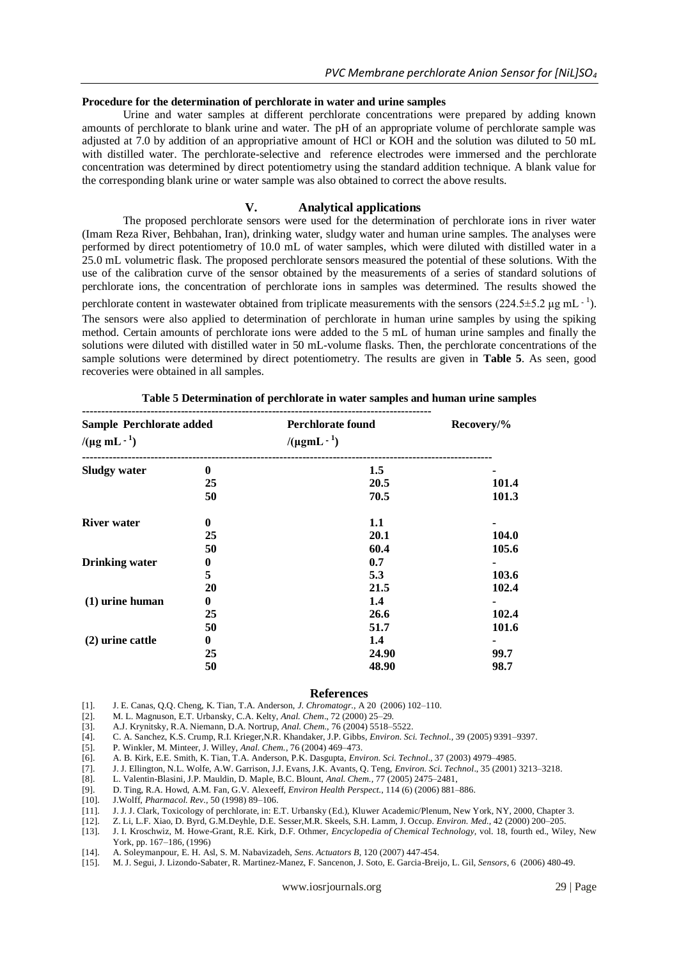## **Procedure for the determination of perchlorate in water and urine samples**

Urine and water samples at different perchlorate concentrations were prepared by adding known amounts of perchlorate to blank urine and water. The pH of an appropriate volume of perchlorate sample was adjusted at 7.0 by addition of an appropriative amount of HCl or KOH and the solution was diluted to 50 mL with distilled water. The perchlorate-selective and reference electrodes were immersed and the perchlorate concentration was determined by direct potentiometry using the standard addition technique. A blank value for the corresponding blank urine or water sample was also obtained to correct the above results.

## **V. Analytical applications**

The proposed perchlorate sensors were used for the determination of perchlorate ions in river water (Imam Reza River, Behbahan, Iran), drinking water, sludgy water and human urine samples. The analyses were performed by direct potentiometry of 10.0 mL of water samples, which were diluted with distilled water in a 25.0 mL volumetric flask. The proposed perchlorate sensors measured the potential of these solutions. With the use of the calibration curve of the sensor obtained by the measurements of a series of standard solutions of perchlorate ions, the concentration of perchlorate ions in samples was determined. The results showed the

perchlorate content in wastewater obtained from triplicate measurements with the sensors  $(224.5\pm5.2 \,\mu g \,\text{mL}^{-1})$ . The sensors were also applied to determination of perchlorate in human urine samples by using the spiking method. Certain amounts of perchlorate ions were added to the 5 mL of human urine samples and finally the solutions were diluted with distilled water in 50 mL-volume flasks. Then, the perchlorate concentrations of the sample solutions were determined by direct potentiometry. The results are given in **Table 5**. As seen, good recoveries were obtained in all samples.

| Sample Perchlorate added<br>$/(\mu g \text{ mL}^{-1})$ |                  | <b>Perchlorate found</b><br>$/(\mu g m L^{-1})$ | Recovery/% |  |
|--------------------------------------------------------|------------------|-------------------------------------------------|------------|--|
| <b>Sludgy water</b>                                    | $\mathbf{0}$     | 1.5                                             |            |  |
|                                                        | 25               | 20.5                                            | 101.4      |  |
|                                                        | 50               | 70.5                                            | 101.3      |  |
| <b>River</b> water                                     | $\mathbf{0}$     | 1.1                                             |            |  |
|                                                        | 25               | 20.1                                            | 104.0      |  |
|                                                        | 50               | 60.4                                            | 105.6      |  |
| <b>Drinking water</b>                                  | $\boldsymbol{0}$ | 0.7                                             |            |  |
|                                                        | 5                | 5.3                                             | 103.6      |  |
|                                                        | 20               | 21.5                                            | 102.4      |  |
| $(1)$ urine human                                      | $\bf{0}$         | 1.4                                             |            |  |
|                                                        | 25               | 26.6                                            | 102.4      |  |
|                                                        | 50               | 51.7                                            | 101.6      |  |
| (2) urine cattle                                       | $\mathbf{0}$     | 1.4                                             |            |  |
|                                                        | 25               | 24.90                                           | 99.7       |  |
|                                                        | 50               | 48.90                                           | 98.7       |  |

**Table 5 Determination of perchlorate in water samples and human urine samples**

#### **References**

- [1]. J. E. Canas, Q.Q. Cheng, K. Tian, T.A. Anderson, *J. Chromatogr.,* A 20 (2006) 102–110.
- [2]. M. L. Magnuson, E.T. Urbansky, C.A. Kelty, *Anal. Chem*., 72 (2000) 25–29.
- [3]. A.J. Krynitsky, R.A. Niemann, D.A. Nortrup, *Anal. Chem.,* 76 (2004) 5518–5522.
- [4]. C. A. Sanchez, K.S. Crump, R.I. Krieger,N.R. Khandaker, J.P. Gibbs, *Environ. Sci. Technol.,* 39 (2005) 9391–9397.
- [5]. P. Winkler, M. Minteer, J. Willey, *Anal. Chem.,* 76 (2004) 469–473.
- [6]. A. B. Kirk, E.E. Smith, K. Tian, T.A. Anderson, P.K. Dasgupta, *Environ. Sci. Technol*., 37 (2003) 4979–4985.
- [7]. J. J. Ellington, N.L. Wolfe, A.W. Garrison, J.J. Evans, J.K. Avants, Q. Teng, *Environ. Sci. Technol*., 35 (2001) 3213–3218.
- [8]. L. Valentin-Blasini, J.P. Mauldin, D. Maple, B.C. Blount, *Anal. Chem.,* 77 (2005) 2475–2481,
- [9]. D. Ting, R.A. Howd, A.M. Fan, G.V. Alexeeff, *Environ Health Perspect.*, 114 (6) (2006) 881–886.
- [10]. J.Wolff, *Pharmacol. Rev.,* 50 (1998) 89–106.
- [11]. J. J. J. Clark, Toxicology of perchlorate, in: E.T. Urbansky (Ed.), Kluwer Academic/Plenum, New York, NY, 2000, Chapter 3.
- [12]. Z. Li, L.F. Xiao, D. Byrd, G.M.Deyhle, D.E. Sesser,M.R. Skeels, S.H. Lamm, J. Occup. *Environ. Med.,* 42 (2000) 200–205.
- [13]. J. I. Kroschwiz, M. Howe-Grant, R.E. Kirk, D.F. Othmer, *Encyclopedia of Chemical Technology,* vol. 18, fourth ed., Wiley, New York, pp. 167–186, (1996)
- [14]. A. Soleymanpour, E. H. Asl, S. M. Nabavizadeh, *Sens. Actuators B*, 120 (2007) 447-454.
- [15]. M. J. Segui, J. Lizondo-Sabater, R. Martinez-Manez, F. Sancenon, J. Soto, E. Garcia-Breijo, L. Gil, *Sensors*, 6 (2006) 480-49.

www.iosrjournals.org 29 | Page